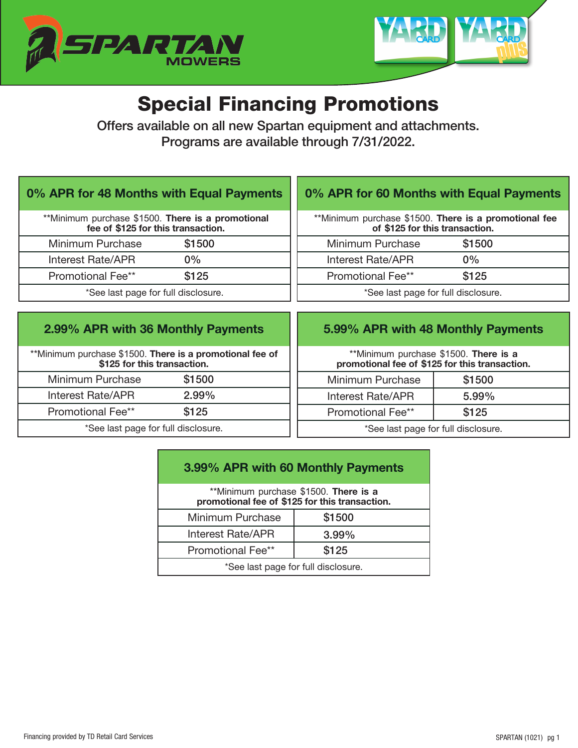



# Special Financing Promotions

Offers available on all new Spartan equipment and attachments. Programs are available through 7/31/2022.

#### 0% APR for 48 Months with Equal Payments

| **Minimum purchase \$1500. There is a promotional<br>fee of \$125 for this transaction. |        |  |
|-----------------------------------------------------------------------------------------|--------|--|
| Minimum Purchase                                                                        | \$1500 |  |
| Interest Rate/APR                                                                       | $0\%$  |  |
| <b>Promotional Fee**</b>                                                                | \$125  |  |
| *See last page for full disclosure.                                                     |        |  |

### 0% APR for 60 Months with Equal Payments

|                                     | **Minimum purchase \$1500. There is a promotional fee |  |
|-------------------------------------|-------------------------------------------------------|--|
| of \$125 for this transaction.      |                                                       |  |
| Minimum Purchase                    | \$1500                                                |  |
| <b>Interest Rate/APR</b>            | $0\%$                                                 |  |
| Promotional Fee**                   | \$125                                                 |  |
| *See last page for full disclosure. |                                                       |  |

#### 2.99% APR with 36 Monthly Payments

\*\*Minimum purchase \$1500. There is a promotional fee of \$125 for this transaction. Minimum Purchase \$1500 Interest Rate/APR 2.99% Promotional Fee\*\* \$125 \*See last page for full disclosure.

### 5.99% APR with 48 Monthly Payments

\*\*Minimum purchase \$1500. There is a promotional fee of \$125 for this transaction.

| Minimum Purchase                                              | \$1500   |  |
|---------------------------------------------------------------|----------|--|
| Interest Rate/APR                                             | $5.99\%$ |  |
| <b>Promotional Fee**</b>                                      | \$125    |  |
| $\star \cap$ . It is the set of the set of the set of $\cdot$ |          |  |

See last page for full disclosure.

## 3.99% APR with 60 Monthly Payments

| **Minimum purchase \$1500. There is a<br>promotional fee of \$125 for this transaction. |          |  |
|-----------------------------------------------------------------------------------------|----------|--|
| Minimum Purchase                                                                        | \$1500   |  |
| <b>Interest Rate/APR</b>                                                                | $3.99\%$ |  |
| <b>Promotional Fee**</b>                                                                | \$125    |  |
| *See last page for full disclosure.                                                     |          |  |